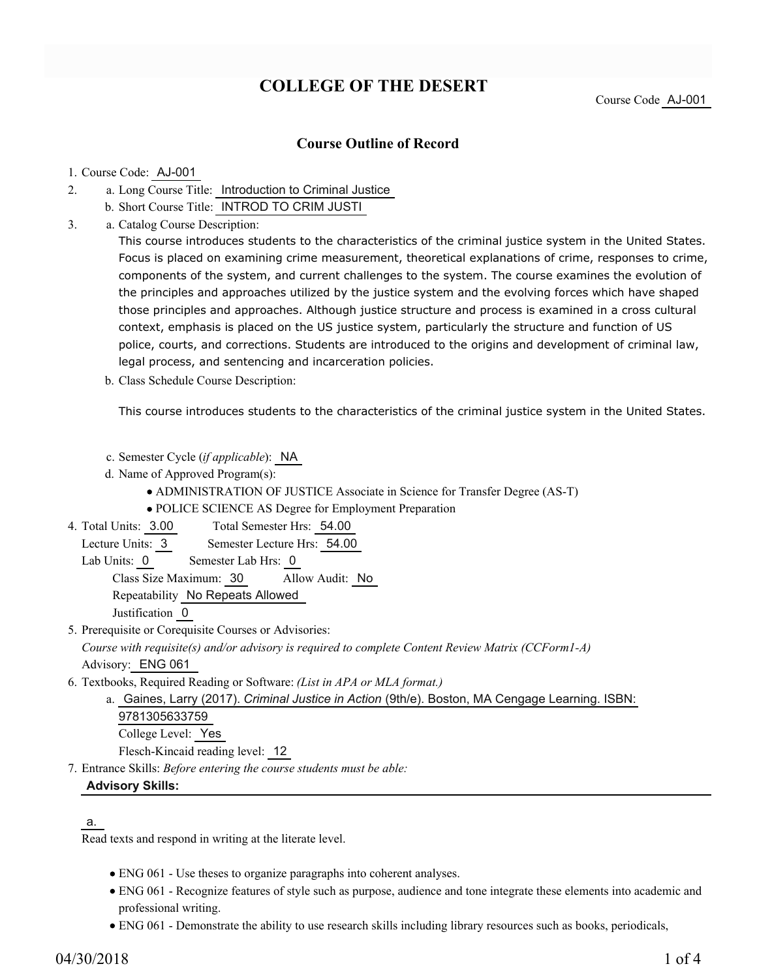# **COLLEGE OF THE DESERT**

## **Course Outline of Record**

#### 1. Course Code: AJ-001

- a. Long Course Title: Introduction to Criminal Justice 2.
	- b. Short Course Title: INTROD TO CRIM JUSTI
- Catalog Course Description: a. 3.

This course introduces students to the characteristics of the criminal justice system in the United States. Focus is placed on examining crime measurement, theoretical explanations of crime, responses to crime, components of the system, and current challenges to the system. The course examines the evolution of the principles and approaches utilized by the justice system and the evolving forces which have shaped those principles and approaches. Although justice structure and process is examined in a cross cultural context, emphasis is placed on the US justice system, particularly the structure and function of US police, courts, and corrections. Students are introduced to the origins and development of criminal law, legal process, and sentencing and incarceration policies.

b. Class Schedule Course Description:

This course introduces students to the characteristics of the criminal justice system in the United States.

- c. Semester Cycle (*if applicable*): NA
- d. Name of Approved Program(s):
	- ADMINISTRATION OF JUSTICE Associate in Science for Transfer Degree (AS-T)
	- POLICE SCIENCE AS Degree for Employment Preparation
- Total Semester Hrs: 54.00 4. Total Units: 3.00
- Lecture Units: 3 Semester Lecture Hrs: 54.00
	- Lab Units: 0 Semester Lab Hrs: 0

Class Size Maximum: 30 Allow Audit: No

Repeatability No Repeats Allowed

Justification 0

5. Prerequisite or Corequisite Courses or Advisories:

*Course with requisite(s) and/or advisory is required to complete Content Review Matrix (CCForm1-A)* Advisory: ENG 061

- Textbooks, Required Reading or Software: *(List in APA or MLA format.)* 6.
	- a. Gaines, Larry (2017). *Criminal Justice in Action* (9th/e). Boston, MA Cengage Learning. ISBN: 9781305633759 College Level: Yes Flesch-Kincaid reading level: 12
- Entrance Skills: *Before entering the course students must be able:* 7.

### **Advisory Skills:**

### a.

Read texts and respond in writing at the literate level.

- ENG 061 Use theses to organize paragraphs into coherent analyses.
- ENG 061 Recognize features of style such as purpose, audience and tone integrate these elements into academic and professional writing.
- ENG 061 Demonstrate the ability to use research skills including library resources such as books, periodicals,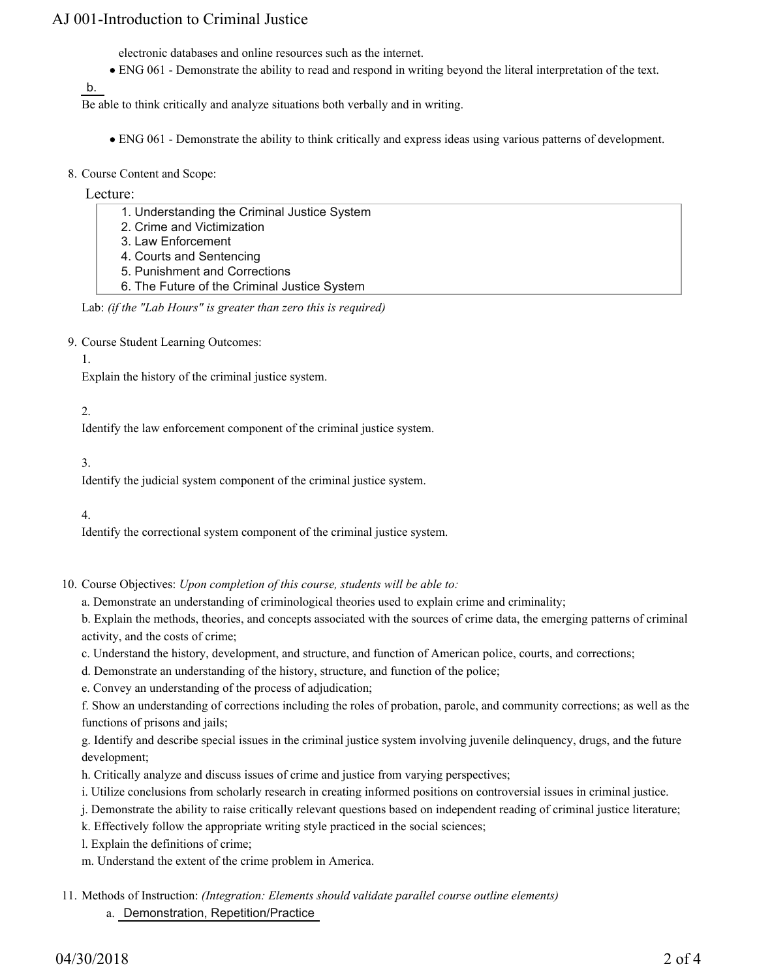## AJ 001-Introduction to Criminal Justice

electronic databases and online resources such as the internet.

ENG 061 - Demonstrate the ability to read and respond in writing beyond the literal interpretation of the text.

b.

Be able to think critically and analyze situations both verbally and in writing.

- ENG 061 Demonstrate the ability to think critically and express ideas using various patterns of development.
- 8. Course Content and Scope:

#### Lecture:

- 1. Understanding the Criminal Justice System
- 2. Crime and Victimization
- 3. Law Enforcement
- 4. Courts and Sentencing
- 5. Punishment and Corrections
- 6. The Future of the Criminal Justice System

### Lab: *(if the "Lab Hours" is greater than zero this is required)*

9. Course Student Learning Outcomes:

#### 1.

Explain the history of the criminal justice system.

### 2.

Identify the law enforcement component of the criminal justice system.

### 3.

Identify the judicial system component of the criminal justice system.

### 4.

Identify the correctional system component of the criminal justice system.

- 10. Course Objectives: Upon completion of this course, students will be able to:
	- a. Demonstrate an understanding of criminological theories used to explain crime and criminality;
	- b. Explain the methods, theories, and concepts associated with the sources of crime data, the emerging patterns of criminal activity, and the costs of crime;
	- c. Understand the history, development, and structure, and function of American police, courts, and corrections;
	- d. Demonstrate an understanding of the history, structure, and function of the police;
	- e. Convey an understanding of the process of adjudication;

f. Show an understanding of corrections including the roles of probation, parole, and community corrections; as well as the functions of prisons and jails;

g. Identify and describe special issues in the criminal justice system involving juvenile delinquency, drugs, and the future development;

- h. Critically analyze and discuss issues of crime and justice from varying perspectives;
- i. Utilize conclusions from scholarly research in creating informed positions on controversial issues in criminal justice.
- j. Demonstrate the ability to raise critically relevant questions based on independent reading of criminal justice literature;

k. Effectively follow the appropriate writing style practiced in the social sciences;

- l. Explain the definitions of crime;
- m. Understand the extent of the crime problem in America.
- Methods of Instruction: *(Integration: Elements should validate parallel course outline elements)* 11. a. Demonstration, Repetition/Practice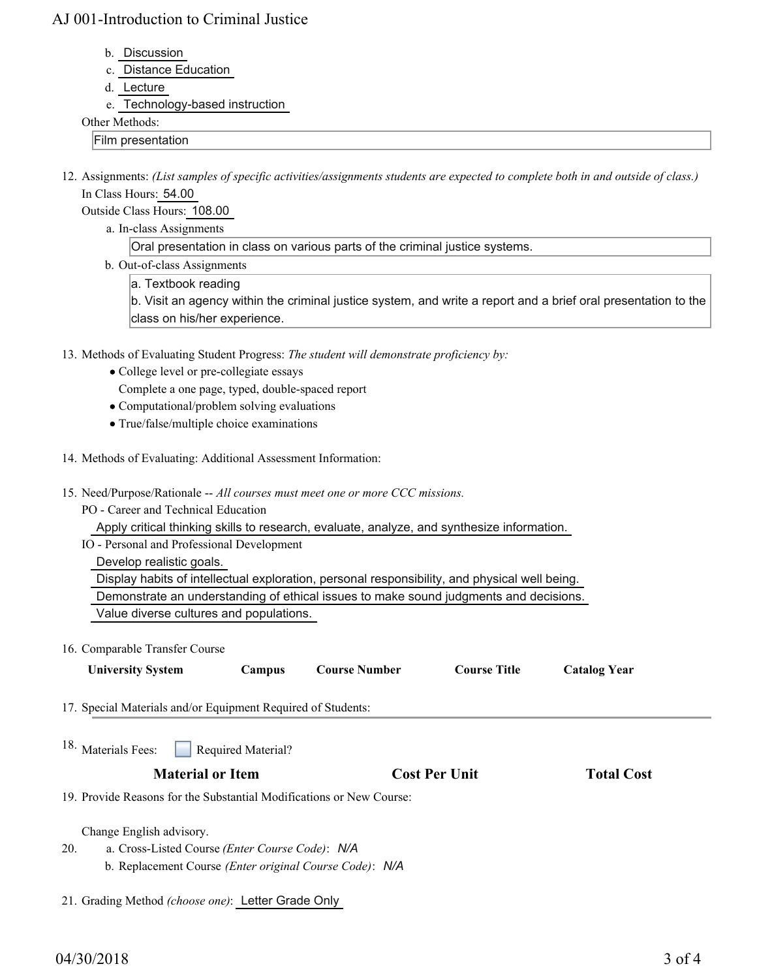## AJ 001-Introduction to Criminal Justice

- b. Discussion
- c. Distance Education
- d. Lecture
- e. Technology-based instruction

#### Other Methods:

Film presentation

12. Assignments: (List samples of specific activities/assignments students are expected to complete both in and outside of class.) In Class Hours: 54.00

Outside Class Hours: 108.00

a. In-class Assignments

Oral presentation in class on various parts of the criminal justice systems.

- b. Out-of-class Assignments
	- a. Textbook reading

b. Visit an agency within the criminal justice system, and write a report and a brief oral presentation to the class on his/her experience.

- 13. Methods of Evaluating Student Progress: The student will demonstrate proficiency by:
	- College level or pre-collegiate essays
	- Complete a one page, typed, double-spaced report
	- Computational/problem solving evaluations
	- True/false/multiple choice examinations
- 14. Methods of Evaluating: Additional Assessment Information:
- 15. Need/Purpose/Rationale -- All courses must meet one or more CCC missions.
	- PO Career and Technical Education

Apply critical thinking skills to research, evaluate, analyze, and synthesize information.

IO - Personal and Professional Development

Develop realistic goals.

Display habits of intellectual exploration, personal responsibility, and physical well being.

Demonstrate an understanding of ethical issues to make sound judgments and decisions.

- Value diverse cultures and populations.
- 16. Comparable Transfer Course

| <b>University System</b>                                             | Campus                    | <b>Course Number</b> | <b>Course Title</b>  | <b>Catalog Year</b> |  |
|----------------------------------------------------------------------|---------------------------|----------------------|----------------------|---------------------|--|
| 17. Special Materials and/or Equipment Required of Students:         |                           |                      |                      |                     |  |
| <sup>18.</sup> Materials Fees:                                       | <b>Required Material?</b> |                      |                      |                     |  |
| <b>Material or Item</b>                                              |                           |                      | <b>Cost Per Unit</b> | <b>Total Cost</b>   |  |
| 19. Provide Reasons for the Substantial Modifications or New Course: |                           |                      |                      |                     |  |
| Change English advisory.                                             |                           |                      |                      |                     |  |
| 20.<br>a. Cross-Listed Course ( <i>Enter Course Code</i> ): N/A      |                           |                      |                      |                     |  |
| b. Replacement Course (Enter original Course Code): N/A              |                           |                      |                      |                     |  |
|                                                                      |                           |                      |                      |                     |  |

21. Grading Method *(choose one)*: Letter Grade Only